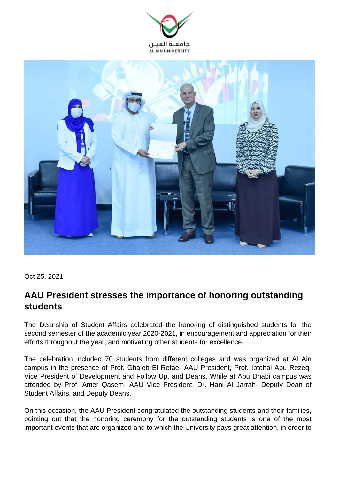



Oct 25, 2021

## **AAU President stresses the importance of honoring outstanding students**

The Deanship of Student Affairs celebrated the honoring of distinguished students for the second semester of the academic year 2020-2021, in encouragement and appreciation for their efforts throughout the year, and motivating other students for excellence.

The celebration included 70 students from different colleges and was organized at Al Ain campus in the presence of Prof. Ghaleb El Refae- AAU President, Prof. Ibtehal Abu Rezeq-Vice President of Development and Follow Up, and Deans. While at Abu Dhabi campus was attended by Prof. Amer Qasem- AAU Vice President, Dr. Hani Al Jarrah- Deputy Dean of Student Affairs, and Deputy Deans.

On this occasion, the AAU President congratulated the outstanding students and their families, pointing out that the honoring ceremony for the outstanding students is one of the most important events that are organized and to which the University pays great attention, in order to